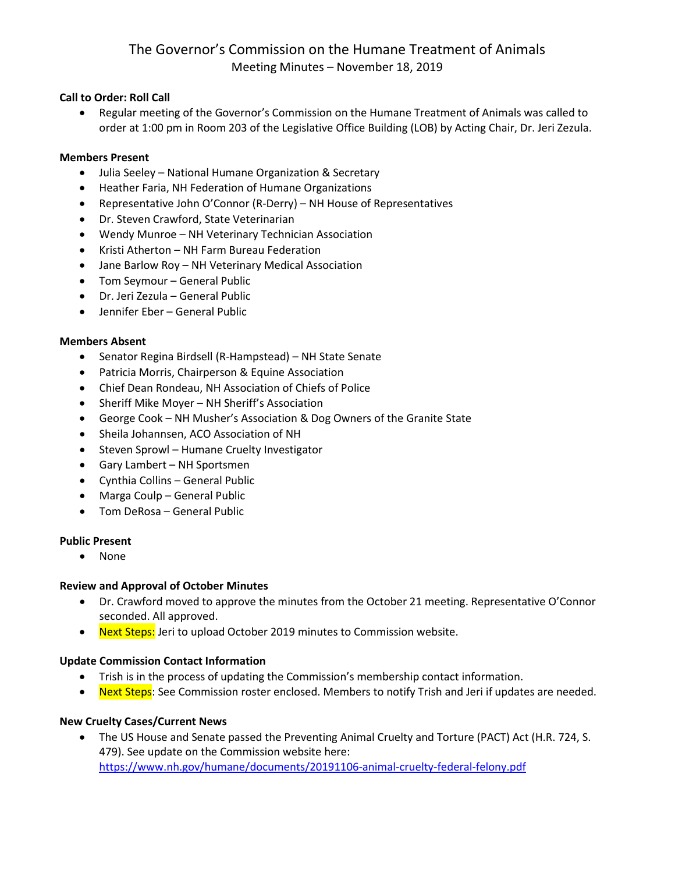## **Call to Order: Roll Call**

• Regular meeting of the Governor's Commission on the Humane Treatment of Animals was called to order at 1:00 pm in Room 203 of the Legislative Office Building (LOB) by Acting Chair, Dr. Jeri Zezula.

### **Members Present**

- Julia Seeley National Humane Organization & Secretary
- Heather Faria, NH Federation of Humane Organizations
- Representative John O'Connor (R-Derry) NH House of Representatives
- Dr. Steven Crawford, State Veterinarian
- Wendy Munroe NH Veterinary Technician Association
- Kristi Atherton NH Farm Bureau Federation
- Jane Barlow Roy NH Veterinary Medical Association
- Tom Seymour General Public
- Dr. Jeri Zezula General Public
- Jennifer Eber General Public

#### **Members Absent**

- Senator Regina Birdsell (R-Hampstead) NH State Senate
- Patricia Morris, Chairperson & Equine Association
- Chief Dean Rondeau, NH Association of Chiefs of Police
- Sheriff Mike Moyer NH Sheriff's Association
- George Cook NH Musher's Association & Dog Owners of the Granite State
- Sheila Johannsen, ACO Association of NH
- Steven Sprowl Humane Cruelty Investigator
- Gary Lambert NH Sportsmen
- Cynthia Collins General Public
- Marga Coulp General Public
- Tom DeRosa General Public

## **Public Present**

• None

## **Review and Approval of October Minutes**

- Dr. Crawford moved to approve the minutes from the October 21 meeting. Representative O'Connor seconded. All approved.
- Next Steps: Jeri to upload October 2019 minutes to Commission website.

## **Update Commission Contact Information**

- Trish is in the process of updating the Commission's membership contact information.
- Next Steps: See Commission roster enclosed. Members to notify Trish and Jeri if updates are needed.

## **New Cruelty Cases/Current News**

• The US House and Senate passed the Preventing Animal Cruelty and Torture (PACT) Act (H.R. 724, S. 479). See update on the Commission website here: <https://www.nh.gov/humane/documents/20191106-animal-cruelty-federal-felony.pdf>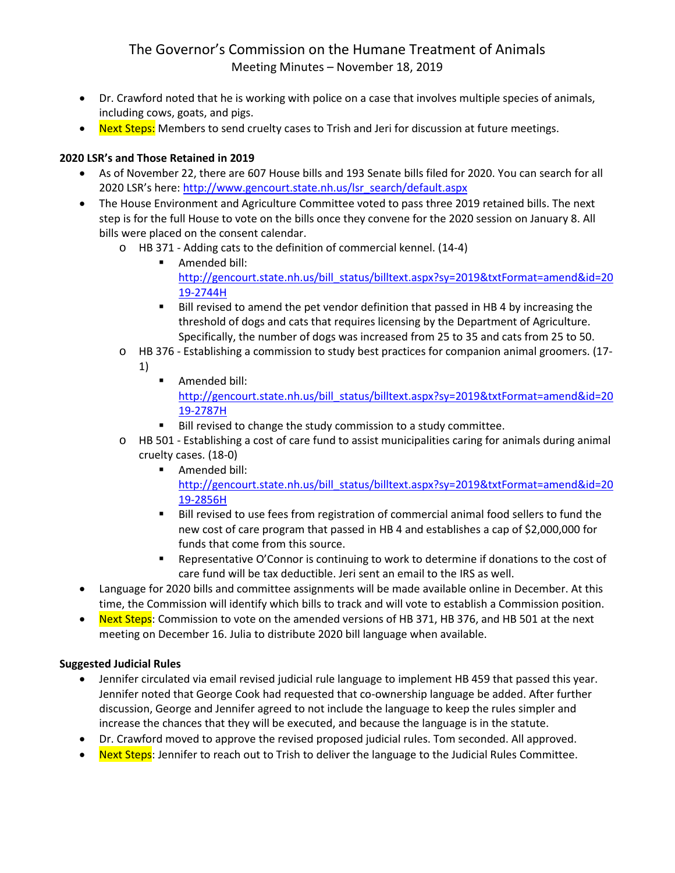- Dr. Crawford noted that he is working with police on a case that involves multiple species of animals, including cows, goats, and pigs.
- Next Steps: Members to send cruelty cases to Trish and Jeri for discussion at future meetings.

# **2020 LSR's and Those Retained in 2019**

- As of November 22, there are 607 House bills and 193 Senate bills filed for 2020. You can search for all 2020 LSR's here: [http://www.gencourt.state.nh.us/lsr\\_search/default.aspx](http://www.gencourt.state.nh.us/lsr_search/default.aspx)
- The House Environment and Agriculture Committee voted to pass three 2019 retained bills. The next step is for the full House to vote on the bills once they convene for the 2020 session on January 8. All bills were placed on the consent calendar.
	- o HB 371 Adding cats to the definition of commercial kennel. (14-4)
		- **Amended bill:** [http://gencourt.state.nh.us/bill\\_status/billtext.aspx?sy=2019&txtFormat=amend&id=20](http://gencourt.state.nh.us/bill_status/billtext.aspx?sy=2019&txtFormat=amend&id=2019-2744H) [19-2744H](http://gencourt.state.nh.us/bill_status/billtext.aspx?sy=2019&txtFormat=amend&id=2019-2744H)
		- **Bill revised to amend the pet vendor definition that passed in HB 4 by increasing the** threshold of dogs and cats that requires licensing by the Department of Agriculture. Specifically, the number of dogs was increased from 25 to 35 and cats from 25 to 50.
	- o HB 376 Establishing a commission to study best practices for companion animal groomers. (17- 1)
		- **Amended bill:** [http://gencourt.state.nh.us/bill\\_status/billtext.aspx?sy=2019&txtFormat=amend&id=20](http://gencourt.state.nh.us/bill_status/billtext.aspx?sy=2019&txtFormat=amend&id=2019-2787H) [19-2787H](http://gencourt.state.nh.us/bill_status/billtext.aspx?sy=2019&txtFormat=amend&id=2019-2787H)
		- Bill revised to change the study commission to a study committee.
	- o HB 501 Establishing a cost of care fund to assist municipalities caring for animals during animal cruelty cases. (18-0)
		- **Amended bill:** [http://gencourt.state.nh.us/bill\\_status/billtext.aspx?sy=2019&txtFormat=amend&id=20](http://gencourt.state.nh.us/bill_status/billtext.aspx?sy=2019&txtFormat=amend&id=2019-2856H) [19-2856H](http://gencourt.state.nh.us/bill_status/billtext.aspx?sy=2019&txtFormat=amend&id=2019-2856H)
		- Bill revised to use fees from registration of commercial animal food sellers to fund the new cost of care program that passed in HB 4 and establishes a cap of \$2,000,000 for funds that come from this source.
		- Representative O'Connor is continuing to work to determine if donations to the cost of care fund will be tax deductible. Jeri sent an email to the IRS as well.
- Language for 2020 bills and committee assignments will be made available online in December. At this time, the Commission will identify which bills to track and will vote to establish a Commission position.
- Next Steps: Commission to vote on the amended versions of HB 371, HB 376, and HB 501 at the next meeting on December 16. Julia to distribute 2020 bill language when available.

## **Suggested Judicial Rules**

- Jennifer circulated via email revised judicial rule language to implement HB 459 that passed this year. Jennifer noted that George Cook had requested that co-ownership language be added. After further discussion, George and Jennifer agreed to not include the language to keep the rules simpler and increase the chances that they will be executed, and because the language is in the statute.
- Dr. Crawford moved to approve the revised proposed judicial rules. Tom seconded. All approved.
- Next Steps: Jennifer to reach out to Trish to deliver the language to the Judicial Rules Committee.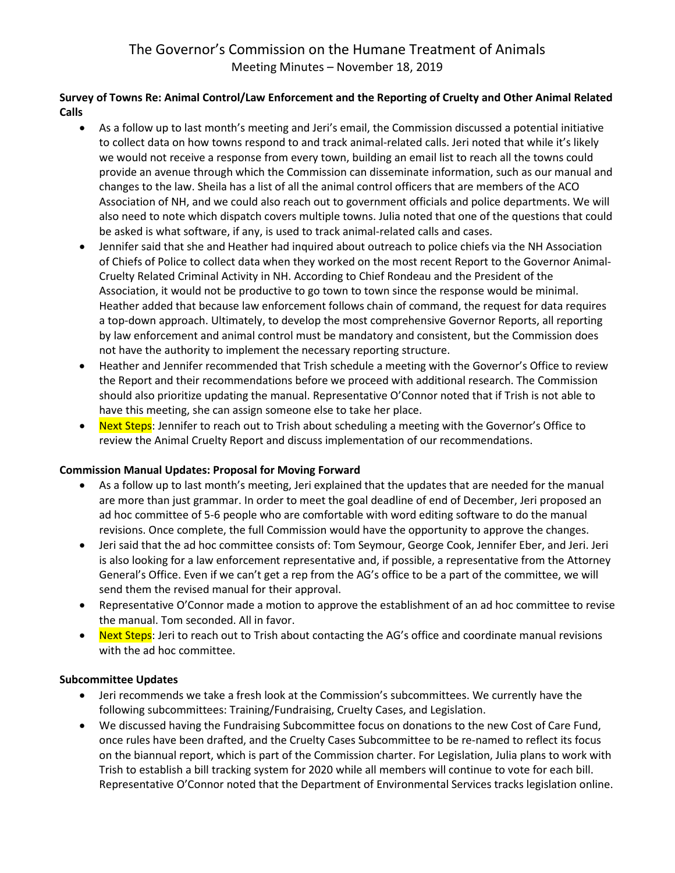# **Survey of Towns Re: Animal Control/Law Enforcement and the Reporting of Cruelty and Other Animal Related Calls**

- As a follow up to last month's meeting and Jeri's email, the Commission discussed a potential initiative to collect data on how towns respond to and track animal-related calls. Jeri noted that while it's likely we would not receive a response from every town, building an email list to reach all the towns could provide an avenue through which the Commission can disseminate information, such as our manual and changes to the law. Sheila has a list of all the animal control officers that are members of the ACO Association of NH, and we could also reach out to government officials and police departments. We will also need to note which dispatch covers multiple towns. Julia noted that one of the questions that could be asked is what software, if any, is used to track animal-related calls and cases.
- Jennifer said that she and Heather had inquired about outreach to police chiefs via the NH Association of Chiefs of Police to collect data when they worked on the most recent Report to the Governor Animal-Cruelty Related Criminal Activity in NH. According to Chief Rondeau and the President of the Association, it would not be productive to go town to town since the response would be minimal. Heather added that because law enforcement follows chain of command, the request for data requires a top-down approach. Ultimately, to develop the most comprehensive Governor Reports, all reporting by law enforcement and animal control must be mandatory and consistent, but the Commission does not have the authority to implement the necessary reporting structure.
- Heather and Jennifer recommended that Trish schedule a meeting with the Governor's Office to review the Report and their recommendations before we proceed with additional research. The Commission should also prioritize updating the manual. Representative O'Connor noted that if Trish is not able to have this meeting, she can assign someone else to take her place.
- Next Steps: Jennifer to reach out to Trish about scheduling a meeting with the Governor's Office to review the Animal Cruelty Report and discuss implementation of our recommendations.

## **Commission Manual Updates: Proposal for Moving Forward**

- As a follow up to last month's meeting, Jeri explained that the updates that are needed for the manual are more than just grammar. In order to meet the goal deadline of end of December, Jeri proposed an ad hoc committee of 5-6 people who are comfortable with word editing software to do the manual revisions. Once complete, the full Commission would have the opportunity to approve the changes.
- Jeri said that the ad hoc committee consists of: Tom Seymour, George Cook, Jennifer Eber, and Jeri. Jeri is also looking for a law enforcement representative and, if possible, a representative from the Attorney General's Office. Even if we can't get a rep from the AG's office to be a part of the committee, we will send them the revised manual for their approval.
- Representative O'Connor made a motion to approve the establishment of an ad hoc committee to revise the manual. Tom seconded. All in favor.
- Next Steps: Jeri to reach out to Trish about contacting the AG's office and coordinate manual revisions with the ad hoc committee.

## **Subcommittee Updates**

- Jeri recommends we take a fresh look at the Commission's subcommittees. We currently have the following subcommittees: Training/Fundraising, Cruelty Cases, and Legislation.
- We discussed having the Fundraising Subcommittee focus on donations to the new Cost of Care Fund, once rules have been drafted, and the Cruelty Cases Subcommittee to be re-named to reflect its focus on the biannual report, which is part of the Commission charter. For Legislation, Julia plans to work with Trish to establish a bill tracking system for 2020 while all members will continue to vote for each bill. Representative O'Connor noted that the Department of Environmental Services tracks legislation online.